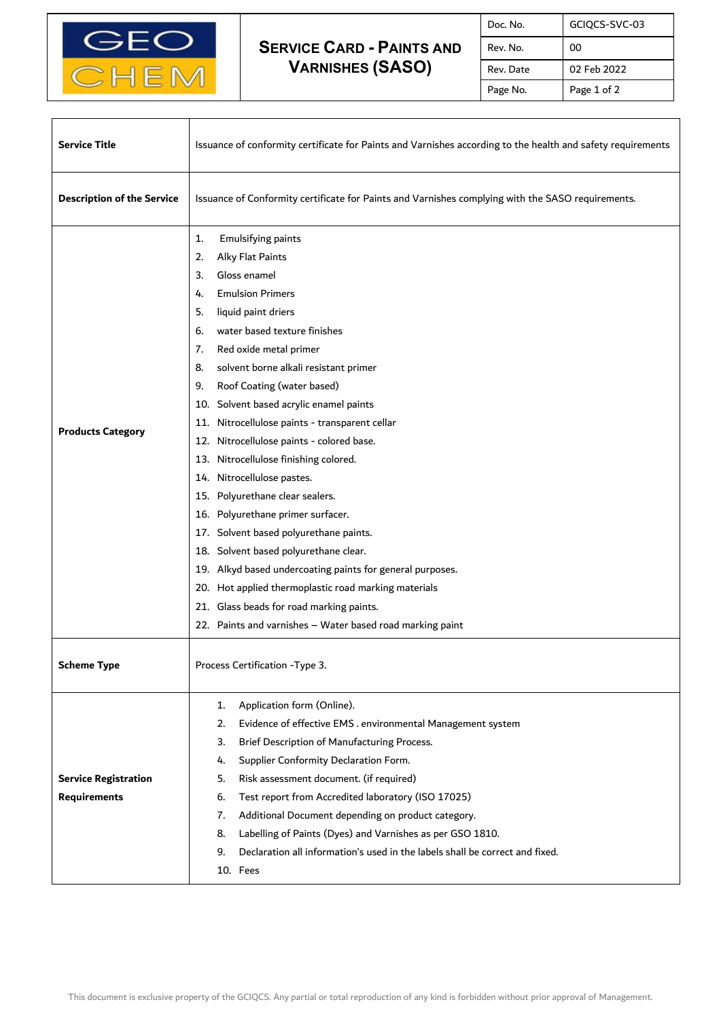

## **SERVICE CARD - PAINTS AND VARNISHES (SASO)**

| Doc. No.  | GCIQCS-SVC-03 |
|-----------|---------------|
| Rev. No.  | ΩO            |
| Rev. Date | 02 Feb 2022   |
| Page No.  | Page 1 of 2   |

٦

| <b>Service Title</b>                               | Issuance of conformity certificate for Paints and Varnishes according to the health and safety requirements                                                                                                                                                                                                                                                                                                                                                                                                                                                                                                                                                                                                                                                                                                                                                                                                      |  |
|----------------------------------------------------|------------------------------------------------------------------------------------------------------------------------------------------------------------------------------------------------------------------------------------------------------------------------------------------------------------------------------------------------------------------------------------------------------------------------------------------------------------------------------------------------------------------------------------------------------------------------------------------------------------------------------------------------------------------------------------------------------------------------------------------------------------------------------------------------------------------------------------------------------------------------------------------------------------------|--|
| <b>Description of the Service</b>                  | Issuance of Conformity certificate for Paints and Varnishes complying with the SASO requirements.                                                                                                                                                                                                                                                                                                                                                                                                                                                                                                                                                                                                                                                                                                                                                                                                                |  |
| <b>Products Category</b>                           | 1.<br><b>Emulsifying paints</b><br>Alky Flat Paints<br>2.<br>Gloss enamel<br>3.<br><b>Emulsion Primers</b><br>4.<br>5.<br>liquid paint driers<br>water based texture finishes<br>6.<br>7.<br>Red oxide metal primer<br>solvent borne alkali resistant primer<br>8.<br>Roof Coating (water based)<br>9.<br>10. Solvent based acrylic enamel paints<br>11. Nitrocellulose paints - transparent cellar<br>12. Nitrocellulose paints - colored base.<br>13. Nitrocellulose finishing colored.<br>14. Nitrocellulose pastes.<br>15. Polyurethane clear sealers.<br>16. Polyurethane primer surfacer.<br>17. Solvent based polyurethane paints.<br>18. Solvent based polyurethane clear.<br>19. Alkyd based undercoating paints for general purposes.<br>20. Hot applied thermoplastic road marking materials<br>21. Glass beads for road marking paints.<br>22. Paints and varnishes - Water based road marking paint |  |
| <b>Scheme Type</b>                                 | Process Certification - Type 3.                                                                                                                                                                                                                                                                                                                                                                                                                                                                                                                                                                                                                                                                                                                                                                                                                                                                                  |  |
| <b>Service Registration</b><br><b>Requirements</b> | Application form (Online).<br>1.<br>2.<br>Evidence of effective EMS . environmental Management system<br>Brief Description of Manufacturing Process.<br>3.<br>Supplier Conformity Declaration Form.<br>4.<br>5.<br>Risk assessment document. (if required)<br>Test report from Accredited laboratory (ISO 17025)<br>6.<br>Additional Document depending on product category.<br>7.<br>8.<br>Labelling of Paints (Dyes) and Varnishes as per GSO 1810.<br>Declaration all information's used in the labels shall be correct and fixed.<br>9.<br>10. Fees                                                                                                                                                                                                                                                                                                                                                          |  |